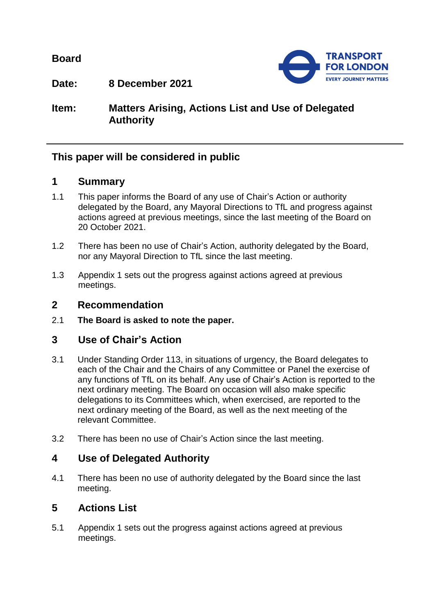**Board**



**Date: 8 December 2021**

**Item: Matters Arising, Actions List and Use of Delegated Authority**

# **This paper will be considered in public**

#### **1 Summary**

- 1.1 This paper informs the Board of any use of Chair's Action or authority delegated by the Board, any Mayoral Directions to TfL and progress against actions agreed at previous meetings, since the last meeting of the Board on 20 October 2021.
- 1.2 There has been no use of Chair's Action, authority delegated by the Board, nor any Mayoral Direction to TfL since the last meeting.
- 1.3 Appendix 1 sets out the progress against actions agreed at previous meetings.

#### **2 Recommendation**

2.1 **The Board is asked to note the paper.**

# **3 Use of Chair's Action**

- 3.1 Under Standing Order 113, in situations of urgency, the Board delegates to each of the Chair and the Chairs of any Committee or Panel the exercise of any functions of TfL on its behalf. Any use of Chair's Action is reported to the next ordinary meeting. The Board on occasion will also make specific delegations to its Committees which, when exercised, are reported to the next ordinary meeting of the Board, as well as the next meeting of the relevant Committee.
- 3.2 There has been no use of Chair's Action since the last meeting.

# **4 Use of Delegated Authority**

4.1 There has been no use of authority delegated by the Board since the last meeting.

# **5 Actions List**

5.1 Appendix 1 sets out the progress against actions agreed at previous meetings.